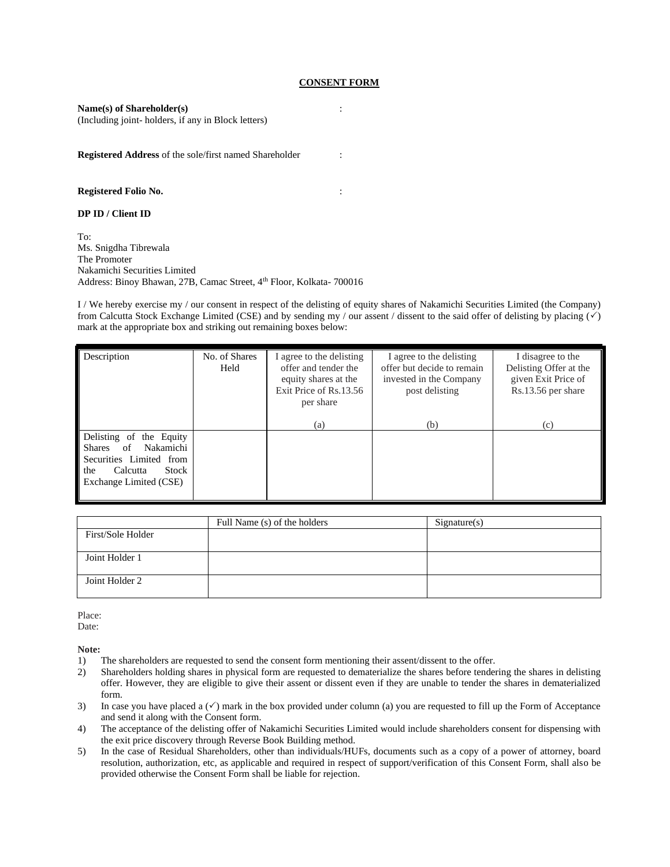### **CONSENT FORM**

:

:

#### **Name(s) of Shareholder(s)**

(Including joint- holders, if any in Block letters)

**Registered Address** of the sole/first named Shareholder :

#### **Registered Folio No.**

#### **DP ID / Client ID**

To: Ms. Snigdha Tibrewala The Promoter Nakamichi Securities Limited Address: Binoy Bhawan, 27B, Camac Street, 4<sup>th</sup> Floor, Kolkata- 700016

I / We hereby exercise my / our consent in respect of the delisting of equity shares of Nakamichi Securities Limited (the Company) from Calcutta Stock Exchange Limited (CSE) and by sending my / our assent / dissent to the said offer of delisting by placing  $(\check{\phantom{e}})$ mark at the appropriate box and striking out remaining boxes below:

| Description                                                                                                                                     | No. of Shares<br>Held | I agree to the delisting<br>offer and tender the<br>equity shares at the<br>Exit Price of Rs.13.56<br>per share<br>(a) | I agree to the delisting<br>offer but decide to remain<br>invested in the Company<br>post delisting<br>(b) | I disagree to the<br>Delisting Offer at the<br>given Exit Price of<br>Rs.13.56 per share<br>(c) |
|-------------------------------------------------------------------------------------------------------------------------------------------------|-----------------------|------------------------------------------------------------------------------------------------------------------------|------------------------------------------------------------------------------------------------------------|-------------------------------------------------------------------------------------------------|
| Delisting of<br>the Equity<br>Nakamichi<br>of<br><b>Shares</b><br>Securities Limited from<br>Calcutta<br>Stock<br>the<br>Exchange Limited (CSE) |                       |                                                                                                                        |                                                                                                            |                                                                                                 |

|                   | Full Name (s) of the holders | Signature(s) |
|-------------------|------------------------------|--------------|
| First/Sole Holder |                              |              |
| Joint Holder 1    |                              |              |
| Joint Holder 2    |                              |              |

Place: Date:

**Note:** 

- 1) The shareholders are requested to send the consent form mentioning their assent/dissent to the offer.
- 2) Shareholders holding shares in physical form are requested to dematerialize the shares before tendering the shares in delisting offer. However, they are eligible to give their assent or dissent even if they are unable to tender the shares in dematerialized form.
- 3) In case you have placed a  $(\checkmark)$  mark in the box provided under column (a) you are requested to fill up the Form of Acceptance and send it along with the Consent form.
- 4) The acceptance of the delisting offer of Nakamichi Securities Limited would include shareholders consent for dispensing with the exit price discovery through Reverse Book Building method.
- 5) In the case of Residual Shareholders, other than individuals/HUFs, documents such as a copy of a power of attorney, board resolution, authorization, etc, as applicable and required in respect of support/verification of this Consent Form, shall also be provided otherwise the Consent Form shall be liable for rejection.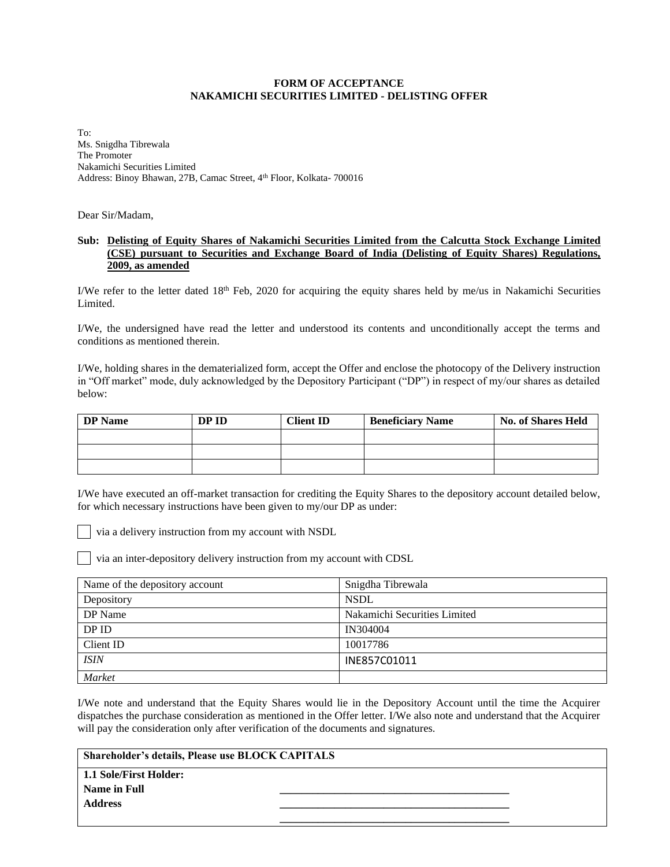## **FORM OF ACCEPTANCE NAKAMICHI SECURITIES LIMITED - DELISTING OFFER**

To: Ms. Snigdha Tibrewala The Promoter Nakamichi Securities Limited Address: Binoy Bhawan, 27B, Camac Street, 4<sup>th</sup> Floor, Kolkata- 700016

Dear Sir/Madam,

# **Sub: Delisting of Equity Shares of Nakamichi Securities Limited from the Calcutta Stock Exchange Limited (CSE) pursuant to Securities and Exchange Board of India (Delisting of Equity Shares) Regulations, 2009, as amended**

I/We refer to the letter dated  $18<sup>th</sup>$  Feb, 2020 for acquiring the equity shares held by me/us in Nakamichi Securities Limited.

I/We, the undersigned have read the letter and understood its contents and unconditionally accept the terms and conditions as mentioned therein.

I/We, holding shares in the dematerialized form, accept the Offer and enclose the photocopy of the Delivery instruction in "Off market" mode, duly acknowledged by the Depository Participant ("DP") in respect of my/our shares as detailed below:

| <b>DP</b> Name | DP ID | <b>Client ID</b> | <b>Beneficiary Name</b> | <b>No. of Shares Held</b> |
|----------------|-------|------------------|-------------------------|---------------------------|
|                |       |                  |                         |                           |
|                |       |                  |                         |                           |
|                |       |                  |                         |                           |

I/We have executed an off-market transaction for crediting the Equity Shares to the depository account detailed below, for which necessary instructions have been given to my/our DP as under:

via a delivery instruction from my account with NSDL

via an inter-depository delivery instruction from my account with CDSL

| Name of the depository account | Snigdha Tibrewala            |
|--------------------------------|------------------------------|
| Depository                     | <b>NSDL</b>                  |
| DP Name                        | Nakamichi Securities Limited |
| DP ID                          | IN304004                     |
| Client ID                      | 10017786                     |
| <b>ISIN</b>                    | INE857C01011                 |
| <b>Market</b>                  |                              |

I/We note and understand that the Equity Shares would lie in the Depository Account until the time the Acquirer dispatches the purchase consideration as mentioned in the Offer letter. I/We also note and understand that the Acquirer will pay the consideration only after verification of the documents and signatures.

**\_\_\_\_\_\_\_\_\_\_\_\_\_\_\_\_\_\_\_\_\_\_\_\_\_\_\_\_\_\_\_\_\_\_\_\_\_\_\_\_\_\_**

## **Shareholder's details, Please use BLOCK CAPITALS**

**1.1 Sole/First Holder: Name in Full \_\_\_\_\_\_\_\_\_\_\_\_\_\_\_\_\_\_\_\_\_\_\_\_\_\_\_\_\_\_\_\_\_\_\_\_\_\_\_\_\_\_ Address \_\_\_\_\_\_\_\_\_\_\_\_\_\_\_\_\_\_\_\_\_\_\_\_\_\_\_\_\_\_\_\_\_\_\_\_\_\_\_\_\_\_**